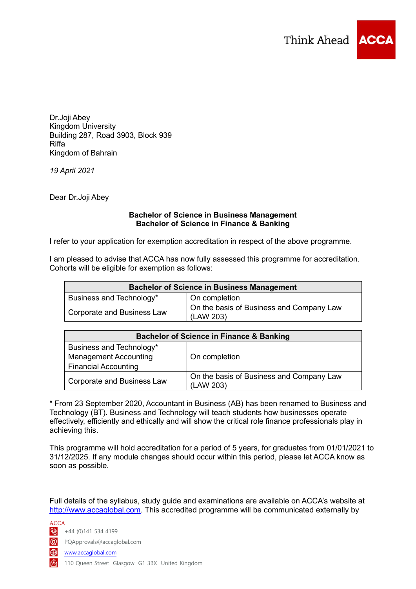

Dr.Joji Abey Kingdom University Building 287, Road 3903, Block 939 Riffa Kingdom of Bahrain

*19 April 2021*

Dear Dr.Joji Abey

## **Bachelor of Science in Business Management Bachelor of Science in Finance & Banking**

I refer to your application for exemption accreditation in respect of the above programme.

I am pleased to advise that ACCA has now fully assessed this programme for accreditation. Cohorts will be eligible for exemption as follows:

| <b>Bachelor of Science in Business Management</b> |                                                       |
|---------------------------------------------------|-------------------------------------------------------|
| Business and Technology*                          | On completion                                         |
| Corporate and Business Law                        | On the basis of Business and Company Law<br>(LAW 203) |

| <b>Bachelor of Science in Finance &amp; Banking</b> |                                          |
|-----------------------------------------------------|------------------------------------------|
| Business and Technology*                            |                                          |
| <b>Management Accounting</b>                        | On completion                            |
| <b>Financial Accounting</b>                         |                                          |
| <b>Corporate and Business Law</b>                   | On the basis of Business and Company Law |
|                                                     | (LAW 203)                                |

\* From 23 September 2020, Accountant in Business (AB) has been renamed to Business and Technology (BT). Business and Technology will teach students how businesses operate effectively, efficiently and ethically and will show the critical role finance professionals play in achieving this.

This programme will hold accreditation for a period of 5 years, for graduates from 01/01/2021 to 31/12/2025. If any module changes should occur within this period, please let ACCA know as soon as possible.

Full details of the syllabus, study guide and examinations are available on ACCA's website at [http://www.accaglobal.com.](http://www.accaglobal.com/) This accredited programme will be communicated externally by

ACCA  $\frac{12}{144}$  (0)141 534 4199

PQApprovals@accaglobal.com

www.accaglobal.com

**k** 110 Queen Street Glasgow G1 3BX United Kingdom